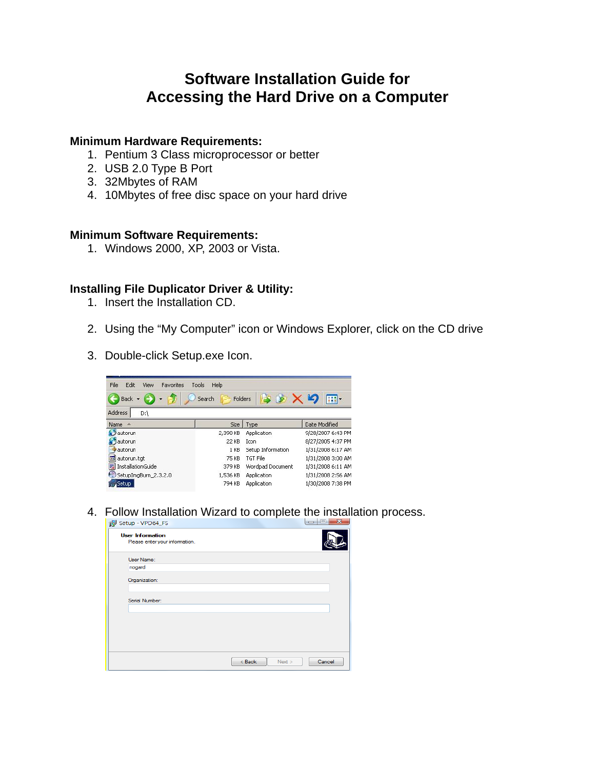# **Software Installation Guide for Accessing the Hard Drive on a Computer**

#### **Minimum Hardware Requirements:**

- 1. Pentium 3 Class microprocessor or better
- 2. USB 2.0 Type B Port
- 3. 32Mbytes of RAM
- 4. 10Mbytes of free disc space on your hard drive

### **Minimum Software Requirements:**

1. Windows 2000, XP, 2003 or Vista.

### **Installing File Duplicator Driver & Utility:**

- 1. Insert the Installation CD.
- 2. Using the "My Computer" icon or Windows Explorer, click on the CD drive
- 3. Double-click Setup.exe Icon.

| HH -              |  |
|-------------------|--|
|                   |  |
|                   |  |
|                   |  |
| Date Modified     |  |
| 9/28/2007 6:43 PM |  |
| 8/27/2005 4:37 PM |  |
| 1/31/2008 6:17 AM |  |
| 1/31/2008 3:00 AM |  |
| 1/31/2008 6:11 AM |  |
| 1/31/2008 2:56 AM |  |
|                   |  |
|                   |  |

4. Follow Installation Wizard to complete the installation process.

| Setup - VPD64_FS                                          | 23<br>$\Box$<br>$\Box$     |
|-----------------------------------------------------------|----------------------------|
| <b>User Information</b><br>Please enter your information. |                            |
| User Name:                                                |                            |
| nogard                                                    |                            |
| Organization:                                             |                            |
| Serial Number:                                            |                            |
|                                                           |                            |
|                                                           |                            |
|                                                           |                            |
|                                                           |                            |
|                                                           | Cancel<br>$<$ Back<br>Next |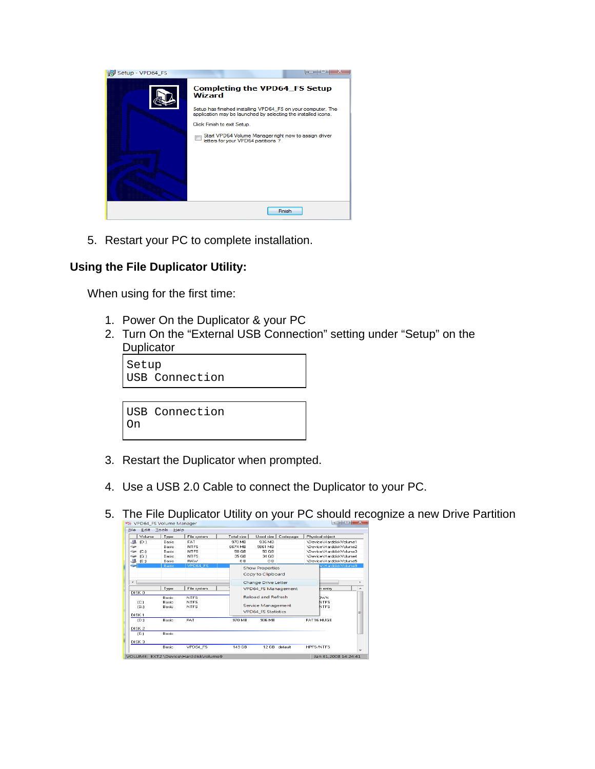

5. Restart your PC to complete installation.

## **Using the File Duplicator Utility:**

When using for the first time:

- 1. Power On the Duplicator & your PC
- 2. Turn On the "External USB Connection" setting under "Setup" on the **Duplicator**

Setup USB Connection

USB Connection On

- 3. Restart the Duplicator when prompted.
- 4. Use a USB 2.0 Cable to connect the Duplicator to your PC.
- 5. The File Duplicator Utility on your PC should recognize a new Drive Partition

| Volume                   | Type   | File system | Total size                | Used size                  | Codepage    | Physical object         |   |
|--------------------------|--------|-------------|---------------------------|----------------------------|-------------|-------------------------|---|
| -B<br>ID:1               | Basic  | FAT         | 970 MB                    | 936 MB                     |             | \Device\HarddiskVolume1 |   |
| حنت                      | Basic  | <b>NTFS</b> | 6674 MB                   | 5861 MB                    |             | \Device\HarddiskVolume2 |   |
| (C <sub>i</sub> )<br>حنت | Basic  | <b>NTFS</b> | 50 GB                     | 50 GB                      |             | \Device\HarddiskVolume3 |   |
| [G:]<br>حنت              | Basic  | <b>NTFS</b> | 35 GB                     | 34 GB                      |             | \Device\HarddiskVolume4 |   |
| 4<br>(E:1)               | Basic  | <b>BAW</b>  | 0B                        | 0 <sub>B</sub>             |             | \Device\HarddiskVolume5 |   |
|                          | Blasic | VPD64 FS    |                           | <b>Show Properties</b>     |             | e\HarddiskVolume9       |   |
|                          |        |             |                           |                            |             |                         |   |
|                          |        |             |                           | Copy to Clipboard          |             |                         |   |
| $\epsilon$               |        |             |                           | Change Drive Letter        |             |                         |   |
|                          | Type   | File system |                           | VPD64_FS Management        |             | n entru                 |   |
| DISK <sub>0</sub>        |        |             |                           |                            |             |                         |   |
|                          | Basic  | <b>NTFS</b> | <b>Reload and Refresh</b> |                            | <b>TWN</b>  |                         |   |
| (C <sub>i</sub> )        | Basic  | <b>NTFS</b> |                           |                            | <b>NTFS</b> |                         |   |
| (G:1)                    | Basic  | <b>NTFS</b> |                           | <b>Service Management</b>  |             | <b>NTES</b>             |   |
|                          |        |             |                           | <b>VPD64 FS Statistics</b> |             |                         | ≡ |
| DISK <sub>1</sub>        | Basic  | <b>FAT</b>  | <b>970 MB</b>             | 936 MB                     |             | <b>FAT16 HUGE</b>       |   |
| ID:1                     |        |             |                           |                            |             |                         |   |
| DISK <sub>2</sub>        |        |             |                           |                            |             |                         |   |
| (E:1)                    | Basic  |             |                           |                            |             |                         |   |
| DISK <sub>3</sub>        |        |             |                           |                            |             |                         |   |
|                          | Basic  | VPD64 FS    | 149 GB                    | 12 GB                      | default     | <b>HPFS/NTFS</b>        |   |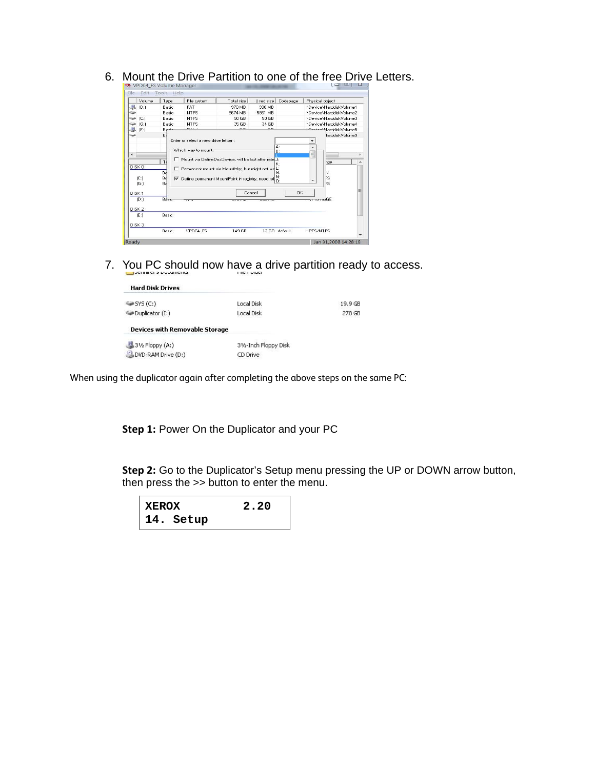| Volume                                          | Type                      | File system                                                                                                                                                                                                                     | Total size    | Used size     | Codepage                         | Physical object                                       |   |
|-------------------------------------------------|---------------------------|---------------------------------------------------------------------------------------------------------------------------------------------------------------------------------------------------------------------------------|---------------|---------------|----------------------------------|-------------------------------------------------------|---|
| 名<br>(D)                                        | Basic                     | FAT                                                                                                                                                                                                                             | 970 MB        | 936 MB        |                                  | \Device\HarddiskVolume1                               |   |
| خفا                                             | Basic                     | <b>NTFS</b>                                                                                                                                                                                                                     | 6674 MB       | 5861 MB       |                                  | \Device\HarddiskVolume2                               |   |
| $ C_1 $<br>حنت                                  | Basic                     | <b>NTFS</b>                                                                                                                                                                                                                     | 50 GB         | 50 GB         |                                  | \Device\HarddiskVolume3                               |   |
| [G:]<br>خهيته                                   | Basic                     | <b>NTFS</b>                                                                                                                                                                                                                     | 35 GB         | 34 GB         |                                  | \Device\HarddiskVolume4                               |   |
| 想<br>(E:)                                       | منسم B                    | $10.11 - 1$                                                                                                                                                                                                                     | $\sim$ $\sim$ | $\sim$ $\sim$ |                                  | Amino Harddisk Volume 5                               |   |
| $\epsilon$<br>DISK <sub>0</sub><br>(C.)<br>[G:] | Τł<br>Ba<br>Bá<br>☞<br>Ba | Enter or select a new drive lettter :<br>Which way to mount:<br>Mount via DefineDosDevice, will be lost after rebd.It<br>Permanent mount via MountMgr, but might not wd L:<br>Define permanent MountPoint in registry, need ret |               |               | A:<br>B:<br>ĸ٠<br>м.<br>N:<br>0: | $\overline{\phantom{a}}$<br>E<br>htry<br>Ν<br>is<br>S |   |
| DISK <sub>1</sub>                               |                           |                                                                                                                                                                                                                                 | Cancel        |               | <b>OK</b>                        |                                                       | E |
| ID:1                                            | Basic                     |                                                                                                                                                                                                                                 |               |               |                                  | <del>merro no</del> GE                                |   |
| DISK <sub>2</sub>                               |                           |                                                                                                                                                                                                                                 |               |               |                                  |                                                       |   |
|                                                 | Basic                     |                                                                                                                                                                                                                                 |               |               |                                  |                                                       |   |
| (E: )                                           |                           |                                                                                                                                                                                                                                 |               |               |                                  |                                                       |   |
| DISK <sub>3</sub>                               | Basic                     | VPD64 FS                                                                                                                                                                                                                        | 149 GB        |               | 12 GB default                    | <b>HPFS/NTFS</b>                                      |   |

6. Mount the Drive Partition to one of the free Drive Letters.

7. You PC should now have a drive partition ready to access.

| <b>Hard Disk Drives</b>               |                       |
|---------------------------------------|-----------------------|
| SYS(C)                                | Local Disk            |
| Duplicator (I:)                       | Local Disk            |
| <b>Devices with Removable Storage</b> |                       |
| $3\%$ Floppy (A:)                     | 31/2-Inch Floppy Disk |
| DVD-RAM Drive (D:)                    | CD Drive              |

When using the duplicator again after completing the above steps on the same PC:

**Step 1:** Power On the Duplicator and your PC

**Step 2:** Go to the Duplicator's Setup menu pressing the UP or DOWN arrow button, then press the >> button to enter the menu.

19.9 GB 278 GB

| <b>XEROX</b> | 2.20 |
|--------------|------|
| 14. Setup    |      |